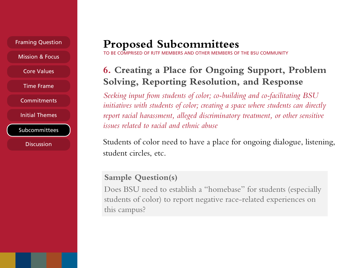Framing Question

Mission & Focus

Core Values

Time Frame

**Commitments** 

Initial Themes

Subcommittees

**Discussion** 

## **Proposed Subcommittees**

RJTF MEMBERS AND OTHER MEMBERS OF THE BSU COMMUNITY

## **6. Creating a Place for Ongoing Support, Problem Solving, Reporting Resolution, and Response**

 *Seeking input from students of color; co-building and co-facilitating BSU initiatives with students of color; creating a space where students can directly*  report racial harassment, alleged discriminatory treatment, or other sensitive *issues related to racial and ethnic abuse* 

 Students of color need to have a place for ongoing dialogue, listening, student circles, etc.

## **Sample Question(s)**

 Does BSU need to establish a "homebase" for students (especially students of color) to report negative race-related experiences on this campus?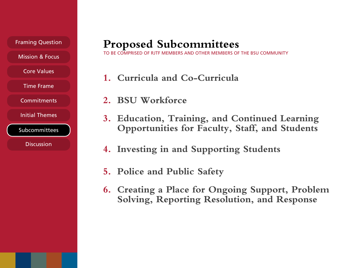Framing Question

Mission & Focus

Core Values

Time Frame

**Commitments** 

Initial Themes

Subcommittees

**Discussion** 

## **Proposed Subcommittees**

BE COMPRISED OF RJTF MEMBERS AND OTHER MEMBERS OF THE BSU COMMUNITY

- **1. Curricula and Co-Curricula**
- **2. BSU Workforce**
- **3. Education, Training, and Continued Learning Opportunities for Faculty, Staff, and Students**
- **4. Investing in and Supporting Students**
- **5. Police and Public Safety**
- **6. Creating a Place for Ongoing Support, Problem Solving, Reporting Resolution, and Response**